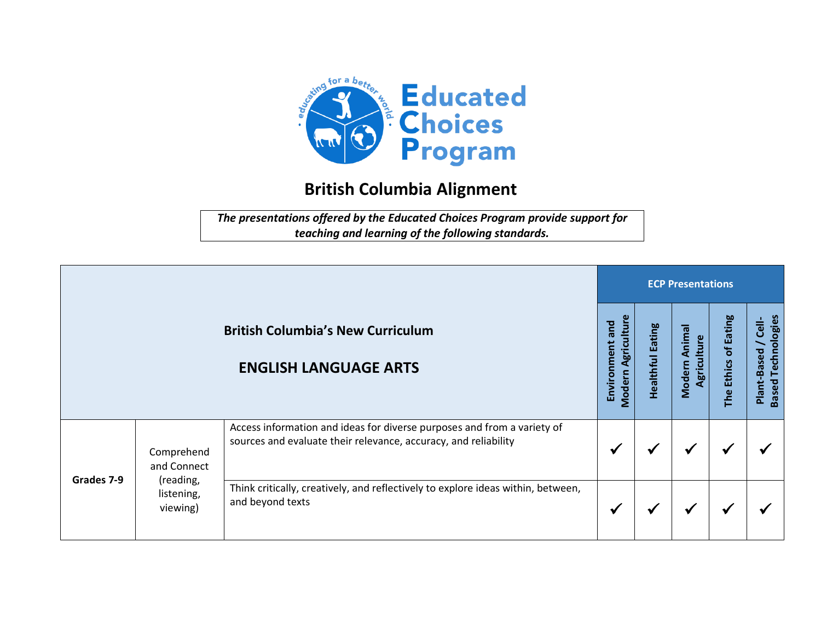

## **British Columbia Alignment**

*The presentations offered by the Educated Choices Program provide support for teaching and learning of the following standards.*

|            |                                     |                                                                                                                                            | <b>ECP Presentations</b>                 |                            |                                        |                                   |                                                   |  |  |  |
|------------|-------------------------------------|--------------------------------------------------------------------------------------------------------------------------------------------|------------------------------------------|----------------------------|----------------------------------------|-----------------------------------|---------------------------------------------------|--|--|--|
|            |                                     | <b>British Columbia's New Curriculum</b><br><b>ENGLISH LANGUAGE ARTS</b>                                                                   | Modern Agriculture<br>and<br>Environment | Eating<br><b>Healthful</b> | Animal<br>Agriculture<br><b>Modern</b> | of Eating<br><b>Ethics</b><br>The | <b>Based Technologies</b><br>Cell-<br>Plant-Based |  |  |  |
|            | Comprehend<br>and Connect           | Access information and ideas for diverse purposes and from a variety of<br>sources and evaluate their relevance, accuracy, and reliability | ✔                                        |                            | ✔                                      | √                                 |                                                   |  |  |  |
| Grades 7-9 | (reading,<br>listening,<br>viewing) | Think critically, creatively, and reflectively to explore ideas within, between,<br>and beyond texts                                       | ✔                                        |                            | $\checkmark$                           | √                                 |                                                   |  |  |  |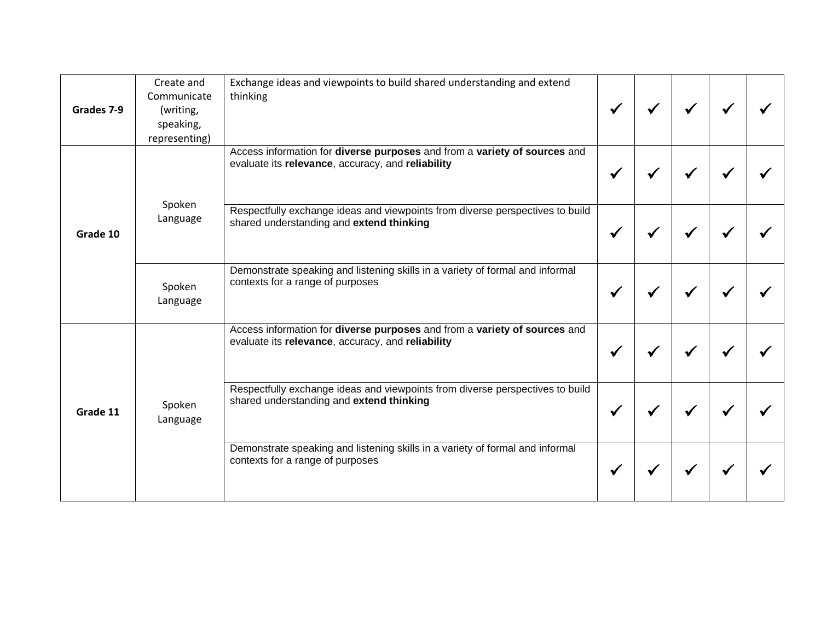| Grades 7-9 | Create and<br>Communicate<br>(writing,<br>speaking,<br>representing) | Exchange ideas and viewpoints to build shared understanding and extend<br>thinking                                             |  |  |  |
|------------|----------------------------------------------------------------------|--------------------------------------------------------------------------------------------------------------------------------|--|--|--|
| Grade 10   |                                                                      | Access information for diverse purposes and from a variety of sources and<br>evaluate its relevance, accuracy, and reliability |  |  |  |
|            | Spoken<br>Language                                                   | Respectfully exchange ideas and viewpoints from diverse perspectives to build<br>shared understanding and extend thinking      |  |  |  |
|            | Spoken<br>Language                                                   | Demonstrate speaking and listening skills in a variety of formal and informal<br>contexts for a range of purposes              |  |  |  |
| Grade 11   |                                                                      | Access information for diverse purposes and from a variety of sources and<br>evaluate its relevance, accuracy, and reliability |  |  |  |
|            | Spoken<br>Language                                                   | Respectfully exchange ideas and viewpoints from diverse perspectives to build<br>shared understanding and extend thinking      |  |  |  |
|            |                                                                      | Demonstrate speaking and listening skills in a variety of formal and informal<br>contexts for a range of purposes              |  |  |  |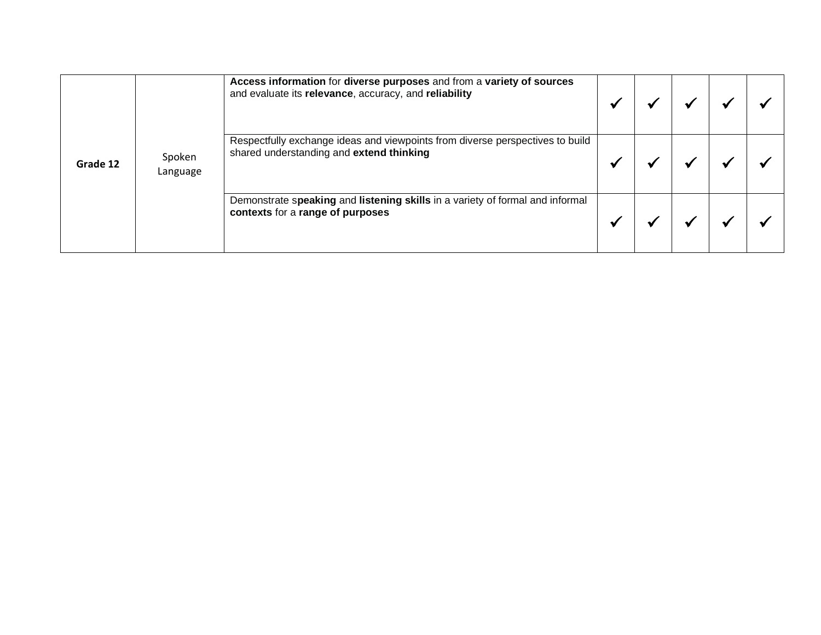| Grade 12 |                    | Access information for diverse purposes and from a variety of sources<br>and evaluate its relevance, accuracy, and reliability |  |  |  |
|----------|--------------------|--------------------------------------------------------------------------------------------------------------------------------|--|--|--|
|          | Spoken<br>Language | Respectfully exchange ideas and viewpoints from diverse perspectives to build<br>shared understanding and extend thinking      |  |  |  |
|          |                    | Demonstrate speaking and listening skills in a variety of formal and informal<br>contexts for a range of purposes              |  |  |  |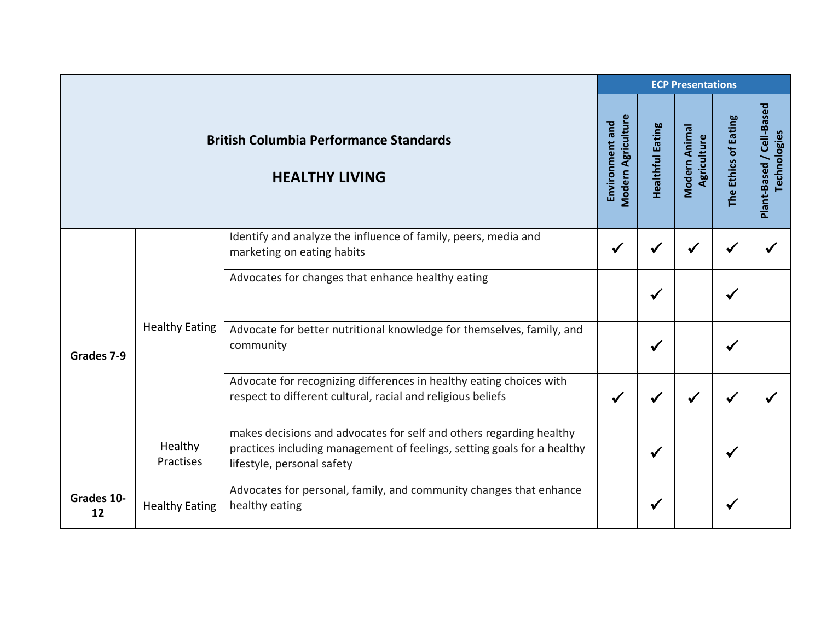|                  |                                                                        |                                                                                                                                                                              | <b>ECP Presentations</b> |              |                              |                      |                                          |  |  |
|------------------|------------------------------------------------------------------------|------------------------------------------------------------------------------------------------------------------------------------------------------------------------------|--------------------------|--------------|------------------------------|----------------------|------------------------------------------|--|--|
|                  | <b>British Columbia Performance Standards</b><br><b>HEALTHY LIVING</b> |                                                                                                                                                                              |                          |              | Modern Animal<br>Agriculture | The Ethics of Eating | Plant-Based / Cell-Based<br>Technologies |  |  |
|                  |                                                                        | Identify and analyze the influence of family, peers, media and<br>marketing on eating habits                                                                                 | $\checkmark$             | ✔            |                              |                      |                                          |  |  |
|                  | <b>Healthy Eating</b>                                                  | Advocates for changes that enhance healthy eating                                                                                                                            |                          | ✔            |                              |                      |                                          |  |  |
| Grades 7-9       |                                                                        | Advocate for better nutritional knowledge for themselves, family, and<br>community                                                                                           |                          | $\checkmark$ |                              |                      |                                          |  |  |
|                  |                                                                        | Advocate for recognizing differences in healthy eating choices with<br>respect to different cultural, racial and religious beliefs                                           | ✔                        |              |                              |                      |                                          |  |  |
|                  | Healthy<br>Practises                                                   | makes decisions and advocates for self and others regarding healthy<br>practices including management of feelings, setting goals for a healthy<br>lifestyle, personal safety |                          | ✔            |                              |                      |                                          |  |  |
| Grades 10-<br>12 | <b>Healthy Eating</b>                                                  | Advocates for personal, family, and community changes that enhance<br>healthy eating                                                                                         |                          | $\checkmark$ |                              |                      |                                          |  |  |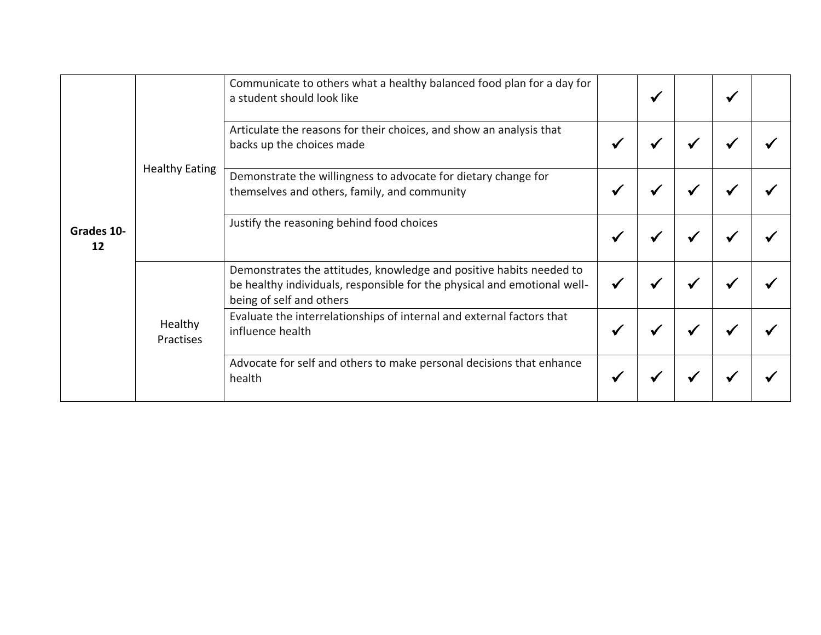| Grades 10-<br>12 | a student should look like<br>Articulate the reasons for their choices, and show an analysis that<br>backs up the choices made<br><b>Healthy Eating</b><br>Demonstrate the willingness to advocate for dietary change for<br>themselves and others, family, and community<br>Justify the reasoning behind food choices | Communicate to others what a healthy balanced food plan for a day for                                                                                                       |              |   |   |   |  |
|------------------|------------------------------------------------------------------------------------------------------------------------------------------------------------------------------------------------------------------------------------------------------------------------------------------------------------------------|-----------------------------------------------------------------------------------------------------------------------------------------------------------------------------|--------------|---|---|---|--|
|                  |                                                                                                                                                                                                                                                                                                                        | ✔                                                                                                                                                                           | ✔            |   |   |   |  |
|                  |                                                                                                                                                                                                                                                                                                                        |                                                                                                                                                                             | $\checkmark$ | ✔ | ₩ | ₩ |  |
|                  |                                                                                                                                                                                                                                                                                                                        |                                                                                                                                                                             | ✔            | ₩ |   |   |  |
|                  | Healthy<br>Practises                                                                                                                                                                                                                                                                                                   | Demonstrates the attitudes, knowledge and positive habits needed to<br>be healthy individuals, responsible for the physical and emotional well-<br>being of self and others | $\checkmark$ | ✔ |   |   |  |
|                  |                                                                                                                                                                                                                                                                                                                        | Evaluate the interrelationships of internal and external factors that<br>influence health                                                                                   | $\checkmark$ | ✔ |   |   |  |
|                  |                                                                                                                                                                                                                                                                                                                        | Advocate for self and others to make personal decisions that enhance<br>health                                                                                              | ✔            |   |   |   |  |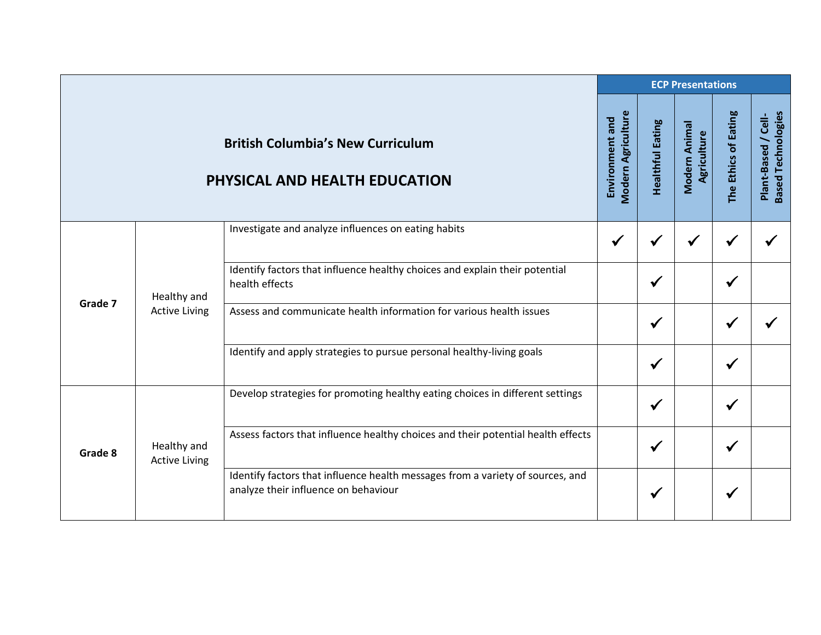|         |                                     |                                                                                                                        |                                       |                         | <b>ECP Presentations</b>     |                      |                                                  |
|---------|-------------------------------------|------------------------------------------------------------------------------------------------------------------------|---------------------------------------|-------------------------|------------------------------|----------------------|--------------------------------------------------|
|         |                                     | <b>British Columbia's New Curriculum</b><br>PHYSICAL AND HEALTH EDUCATION                                              | Modern Agriculture<br>Environment and | <b>Healthful Eating</b> | Modern Animal<br>Agriculture | The Ethics of Eating | <b>Based Technologies</b><br>Plant-Based / Cell- |
|         |                                     | Investigate and analyze influences on eating habits                                                                    | $\checkmark$                          | ✔                       |                              | $\checkmark$         |                                                  |
|         | Healthy and<br><b>Active Living</b> | Identify factors that influence healthy choices and explain their potential<br>health effects                          |                                       | $\checkmark$            |                              | $\checkmark$         |                                                  |
| Grade 7 |                                     | Assess and communicate health information for various health issues                                                    |                                       | ✔                       |                              |                      |                                                  |
|         |                                     | Identify and apply strategies to pursue personal healthy-living goals                                                  |                                       | $\checkmark$            |                              | $\checkmark$         |                                                  |
|         |                                     | Develop strategies for promoting healthy eating choices in different settings                                          |                                       | $\checkmark$            |                              | $\checkmark$         |                                                  |
| Grade 8 | Healthy and<br><b>Active Living</b> | Assess factors that influence healthy choices and their potential health effects                                       |                                       | ✔                       |                              | $\checkmark$         |                                                  |
|         |                                     | Identify factors that influence health messages from a variety of sources, and<br>analyze their influence on behaviour |                                       | $\checkmark$            |                              | ✔                    |                                                  |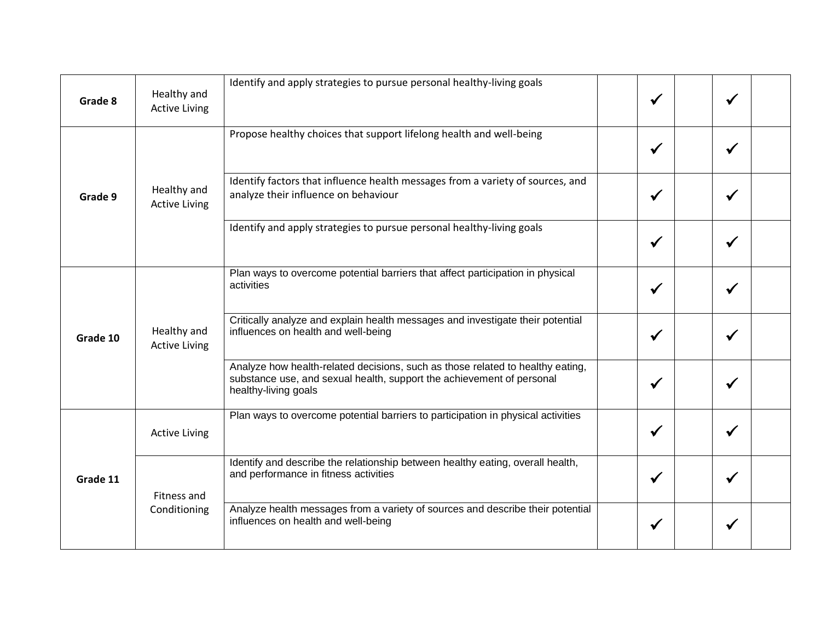| Grade 8  | Healthy and<br><b>Active Living</b> | Identify and apply strategies to pursue personal healthy-living goals                                                                                                           | ✔            |              |  |
|----------|-------------------------------------|---------------------------------------------------------------------------------------------------------------------------------------------------------------------------------|--------------|--------------|--|
| Grade 9  |                                     | Propose healthy choices that support lifelong health and well-being                                                                                                             | $\checkmark$ | ✔            |  |
|          | Healthy and<br><b>Active Living</b> | Identify factors that influence health messages from a variety of sources, and<br>analyze their influence on behaviour                                                          |              | ✔            |  |
|          |                                     | Identify and apply strategies to pursue personal healthy-living goals                                                                                                           | $\checkmark$ | √            |  |
|          | Healthy and<br><b>Active Living</b> | Plan ways to overcome potential barriers that affect participation in physical<br>activities                                                                                    | $\checkmark$ |              |  |
| Grade 10 |                                     | Critically analyze and explain health messages and investigate their potential<br>influences on health and well-being                                                           | ✔            | √            |  |
|          |                                     | Analyze how health-related decisions, such as those related to healthy eating,<br>substance use, and sexual health, support the achievement of personal<br>healthy-living goals | $\checkmark$ | $\checkmark$ |  |
|          | <b>Active Living</b>                | Plan ways to overcome potential barriers to participation in physical activities                                                                                                | $\checkmark$ | √            |  |
| Grade 11 | Fitness and<br>Conditioning         | Identify and describe the relationship between healthy eating, overall health,<br>and performance in fitness activities                                                         | $\checkmark$ | ✔            |  |
|          |                                     | Analyze health messages from a variety of sources and describe their potential<br>influences on health and well-being                                                           | √            |              |  |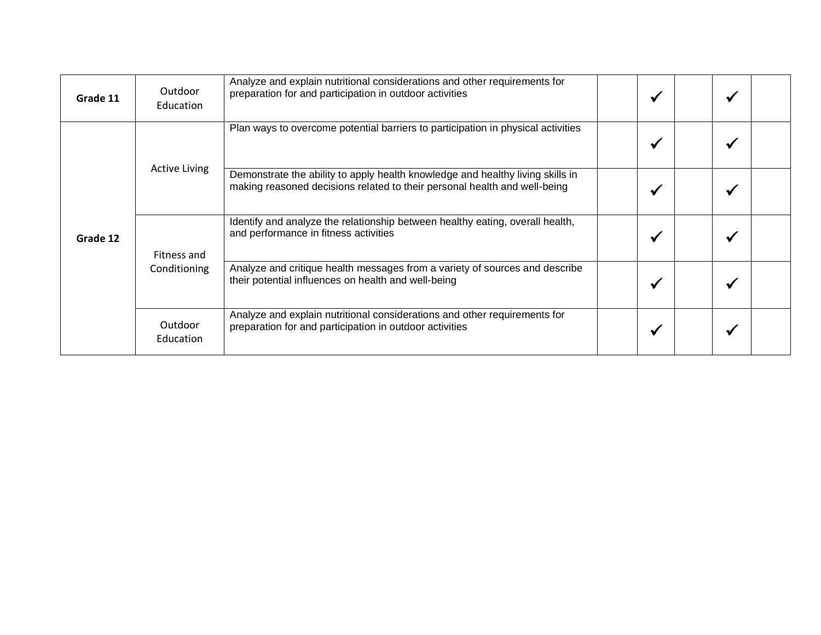| Grade 11 | Outdoor<br>Education | Analyze and explain nutritional considerations and other requirements for<br>preparation for and participation in outdoor activities                        | $\checkmark$ |  |  |
|----------|----------------------|-------------------------------------------------------------------------------------------------------------------------------------------------------------|--------------|--|--|
| Grade 12 | <b>Active Living</b> | Plan ways to overcome potential barriers to participation in physical activities                                                                            | ✔            |  |  |
|          |                      | Demonstrate the ability to apply health knowledge and healthy living skills in<br>making reasoned decisions related to their personal health and well-being | ✔            |  |  |
|          | Fitness and          | Identify and analyze the relationship between healthy eating, overall health,<br>and performance in fitness activities                                      | ₩            |  |  |
|          | Conditioning         | Analyze and critique health messages from a variety of sources and describe<br>their potential influences on health and well-being                          | ✔            |  |  |
|          | Outdoor<br>Education | Analyze and explain nutritional considerations and other requirements for<br>preparation for and participation in outdoor activities                        | -44          |  |  |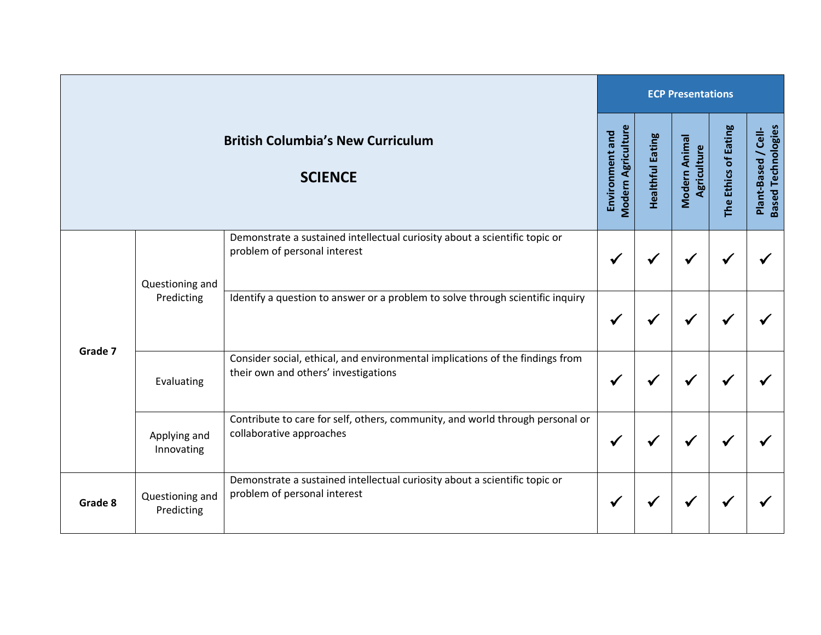|         |                               |                                                                                                                       |                                              |                         | <b>ECP Presentations</b>     |                      |                                                  |
|---------|-------------------------------|-----------------------------------------------------------------------------------------------------------------------|----------------------------------------------|-------------------------|------------------------------|----------------------|--------------------------------------------------|
|         |                               | <b>British Columbia's New Curriculum</b><br><b>SCIENCE</b>                                                            | <b>Modern Agriculture</b><br>Environment and | <b>Healthful Eating</b> | Modern Animal<br>Agriculture | The Ethics of Eating | <b>Based Technologies</b><br>Plant-Based / Cell- |
|         | Questioning and<br>Predicting | Demonstrate a sustained intellectual curiosity about a scientific topic or<br>problem of personal interest            |                                              |                         |                              |                      |                                                  |
|         |                               | Identify a question to answer or a problem to solve through scientific inquiry                                        | ✔                                            |                         | √                            | √                    |                                                  |
| Grade 7 | Evaluating                    | Consider social, ethical, and environmental implications of the findings from<br>their own and others' investigations | M                                            |                         |                              |                      |                                                  |
|         | Applying and<br>Innovating    | Contribute to care for self, others, community, and world through personal or<br>collaborative approaches             | √                                            |                         |                              |                      |                                                  |
| Grade 8 | Questioning and<br>Predicting | Demonstrate a sustained intellectual curiosity about a scientific topic or<br>problem of personal interest            | V                                            |                         | ✔                            | ✔                    |                                                  |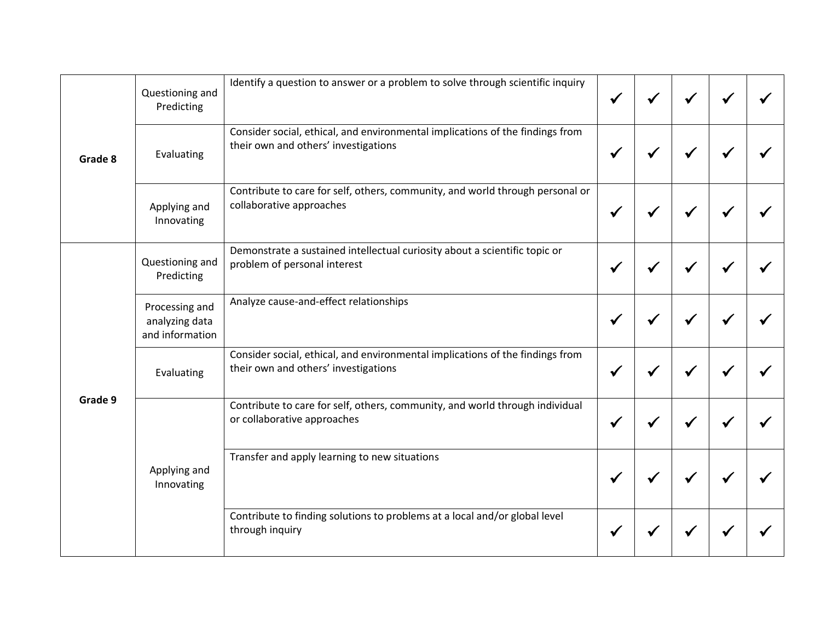| Grade 8 | Questioning and<br>Predicting                       | Identify a question to answer or a problem to solve through scientific inquiry                                        |  |  |  |
|---------|-----------------------------------------------------|-----------------------------------------------------------------------------------------------------------------------|--|--|--|
|         | Evaluating                                          | Consider social, ethical, and environmental implications of the findings from<br>their own and others' investigations |  |  |  |
|         | Applying and<br>Innovating                          | Contribute to care for self, others, community, and world through personal or<br>collaborative approaches             |  |  |  |
|         | Questioning and<br>Predicting                       | Demonstrate a sustained intellectual curiosity about a scientific topic or<br>problem of personal interest            |  |  |  |
|         | Processing and<br>analyzing data<br>and information | Analyze cause-and-effect relationships                                                                                |  |  |  |
|         | Evaluating                                          | Consider social, ethical, and environmental implications of the findings from<br>their own and others' investigations |  |  |  |
| Grade 9 |                                                     | Contribute to care for self, others, community, and world through individual<br>or collaborative approaches           |  |  |  |
|         | Applying and<br>Innovating                          | Transfer and apply learning to new situations                                                                         |  |  |  |
|         |                                                     | Contribute to finding solutions to problems at a local and/or global level<br>through inquiry                         |  |  |  |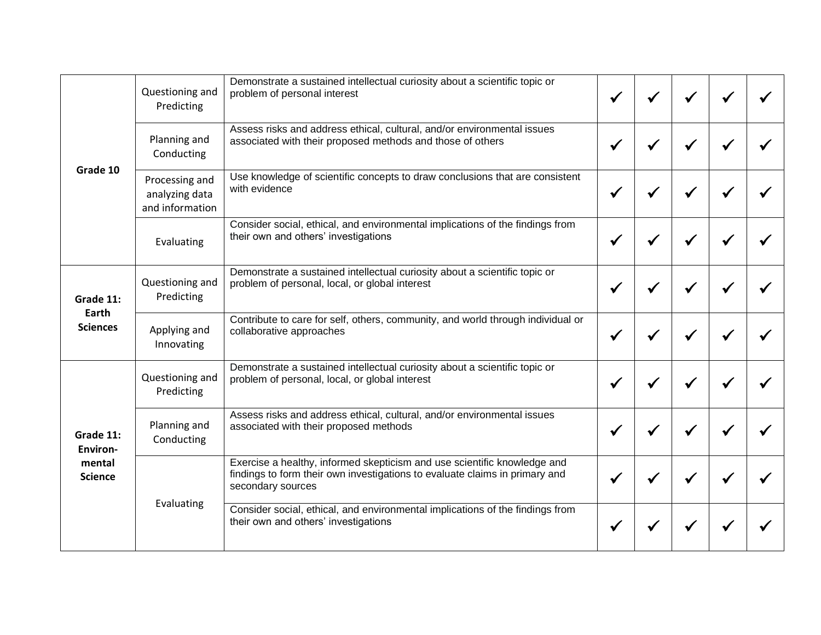|                                                          | Questioning and<br>Predicting                       | Demonstrate a sustained intellectual curiosity about a scientific topic or<br>problem of personal interest                                                                   |  |  |  |
|----------------------------------------------------------|-----------------------------------------------------|------------------------------------------------------------------------------------------------------------------------------------------------------------------------------|--|--|--|
| Grade 10<br>Grade 11:                                    | Planning and<br>Conducting                          | Assess risks and address ethical, cultural, and/or environmental issues<br>associated with their proposed methods and those of others                                        |  |  |  |
|                                                          | Processing and<br>analyzing data<br>and information | Use knowledge of scientific concepts to draw conclusions that are consistent<br>with evidence                                                                                |  |  |  |
|                                                          | Evaluating                                          | Consider social, ethical, and environmental implications of the findings from<br>their own and others' investigations                                                        |  |  |  |
|                                                          | Questioning and<br>Predicting                       | Demonstrate a sustained intellectual curiosity about a scientific topic or<br>problem of personal, local, or global interest                                                 |  |  |  |
| Earth<br><b>Sciences</b>                                 | Applying and<br>Innovating                          | Contribute to care for self, others, community, and world through individual or<br>collaborative approaches                                                                  |  |  |  |
|                                                          | Questioning and<br>Predicting                       | Demonstrate a sustained intellectual curiosity about a scientific topic or<br>problem of personal, local, or global interest                                                 |  |  |  |
| Grade 11:<br><b>Environ-</b><br>mental<br><b>Science</b> | Planning and<br>Conducting                          | Assess risks and address ethical, cultural, and/or environmental issues<br>associated with their proposed methods                                                            |  |  |  |
|                                                          |                                                     | Exercise a healthy, informed skepticism and use scientific knowledge and<br>findings to form their own investigations to evaluate claims in primary and<br>secondary sources |  |  |  |
|                                                          | Evaluating                                          | Consider social, ethical, and environmental implications of the findings from<br>their own and others' investigations                                                        |  |  |  |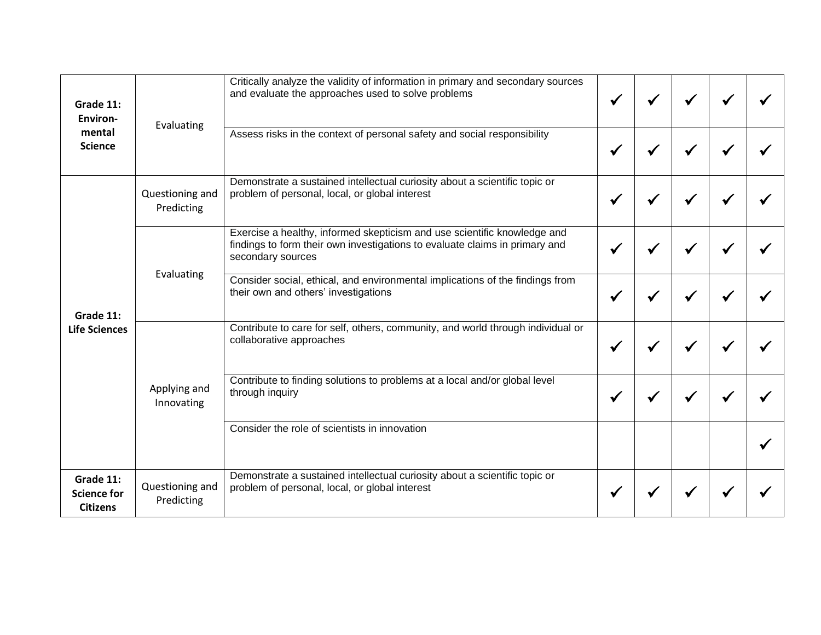| Grade 11:<br><b>Environ-</b>                       | Evaluating                    | Critically analyze the validity of information in primary and secondary sources<br>and evaluate the approaches used to solve problems                                        |  |  |  |
|----------------------------------------------------|-------------------------------|------------------------------------------------------------------------------------------------------------------------------------------------------------------------------|--|--|--|
| mental<br><b>Science</b>                           |                               | Assess risks in the context of personal safety and social responsibility                                                                                                     |  |  |  |
| Grade 11:                                          | Questioning and<br>Predicting | Demonstrate a sustained intellectual curiosity about a scientific topic or<br>problem of personal, local, or global interest                                                 |  |  |  |
|                                                    |                               | Exercise a healthy, informed skepticism and use scientific knowledge and<br>findings to form their own investigations to evaluate claims in primary and<br>secondary sources |  |  |  |
|                                                    | Evaluating                    | Consider social, ethical, and environmental implications of the findings from<br>their own and others' investigations                                                        |  |  |  |
| <b>Life Sciences</b>                               | Applying and<br>Innovating    | Contribute to care for self, others, community, and world through individual or<br>collaborative approaches                                                                  |  |  |  |
|                                                    |                               | Contribute to finding solutions to problems at a local and/or global level<br>through inquiry                                                                                |  |  |  |
|                                                    |                               | Consider the role of scientists in innovation                                                                                                                                |  |  |  |
| Grade 11:<br><b>Science for</b><br><b>Citizens</b> | Questioning and<br>Predicting | Demonstrate a sustained intellectual curiosity about a scientific topic or<br>problem of personal, local, or global interest                                                 |  |  |  |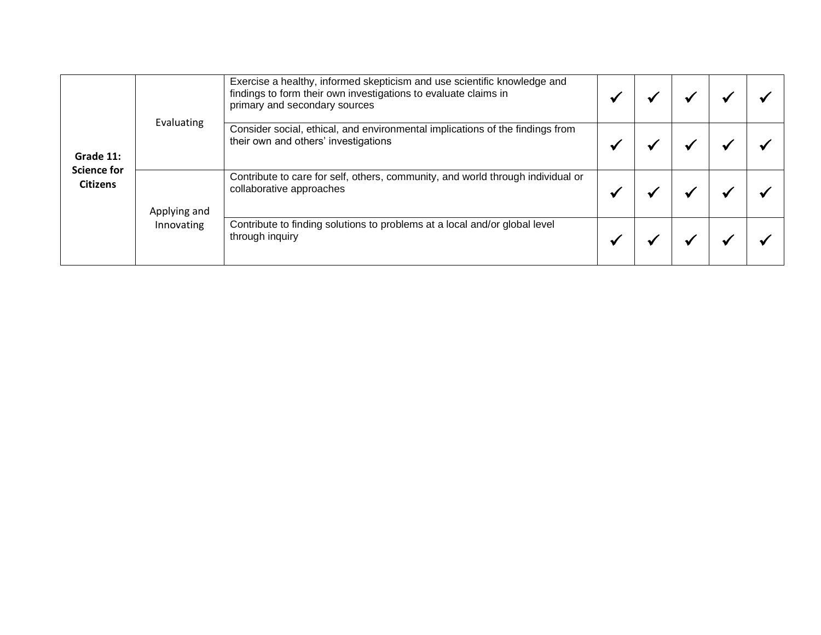| Grade 11:<br><b>Science for</b><br><b>Citizens</b> |              | Exercise a healthy, informed skepticism and use scientific knowledge and<br>findings to form their own investigations to evaluate claims in<br>primary and secondary sources |  |  |  |
|----------------------------------------------------|--------------|------------------------------------------------------------------------------------------------------------------------------------------------------------------------------|--|--|--|
|                                                    | Evaluating   | Consider social, ethical, and environmental implications of the findings from<br>their own and others' investigations                                                        |  |  |  |
|                                                    | Applying and | Contribute to care for self, others, community, and world through individual or<br>collaborative approaches                                                                  |  |  |  |
|                                                    | Innovating   | Contribute to finding solutions to problems at a local and/or global level<br>through inquiry                                                                                |  |  |  |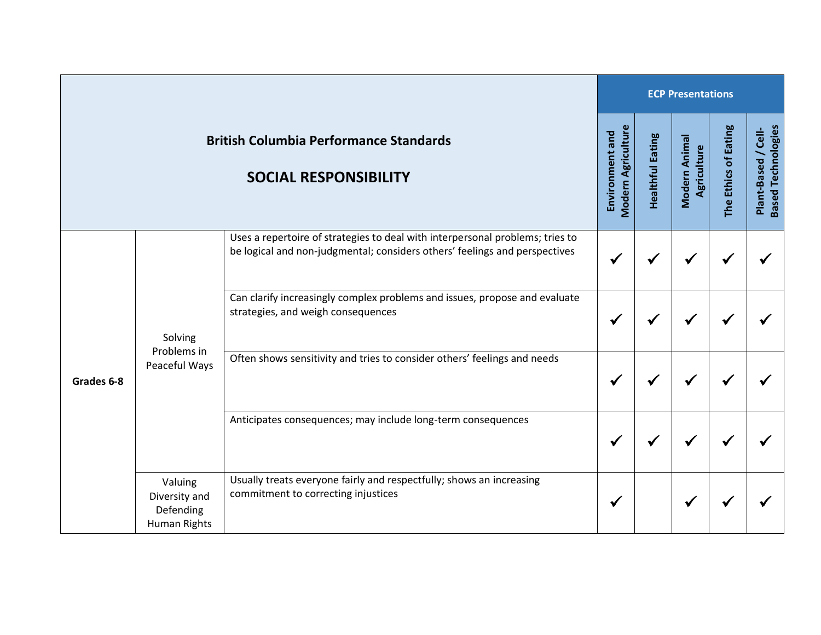|                                                                               |                                                                                                                                                                                                                                                                                                                       |                                                                                                             | <b>ECP Presentations</b>                     |                         |                              |                      |                                                  |  |  |
|-------------------------------------------------------------------------------|-----------------------------------------------------------------------------------------------------------------------------------------------------------------------------------------------------------------------------------------------------------------------------------------------------------------------|-------------------------------------------------------------------------------------------------------------|----------------------------------------------|-------------------------|------------------------------|----------------------|--------------------------------------------------|--|--|
| <b>British Columbia Performance Standards</b><br><b>SOCIAL RESPONSIBILITY</b> |                                                                                                                                                                                                                                                                                                                       |                                                                                                             | <b>Modern Agriculture</b><br>Environment and | <b>Healthful Eating</b> | Modern Animal<br>Agriculture | The Ethics of Eating | <b>Based Technologies</b><br>Plant-Based / Cell- |  |  |
| Grades 6-8                                                                    | be logical and non-judgmental; considers others' feelings and perspectives<br>Can clarify increasingly complex problems and issues, propose and evaluate<br>strategies, and weigh consequences<br>Solving<br>Problems in<br>Often shows sensitivity and tries to consider others' feelings and needs<br>Peaceful Ways | Uses a repertoire of strategies to deal with interpersonal problems; tries to                               |                                              |                         |                              |                      |                                                  |  |  |
|                                                                               |                                                                                                                                                                                                                                                                                                                       | ✔                                                                                                           | ✔                                            | ✔                       |                              |                      |                                                  |  |  |
|                                                                               |                                                                                                                                                                                                                                                                                                                       |                                                                                                             |                                              |                         |                              |                      |                                                  |  |  |
|                                                                               |                                                                                                                                                                                                                                                                                                                       | Anticipates consequences; may include long-term consequences                                                | M                                            |                         |                              |                      |                                                  |  |  |
|                                                                               | Valuing<br>Diversity and<br>Defending<br>Human Rights                                                                                                                                                                                                                                                                 | Usually treats everyone fairly and respectfully; shows an increasing<br>commitment to correcting injustices | ✔                                            |                         | √                            |                      |                                                  |  |  |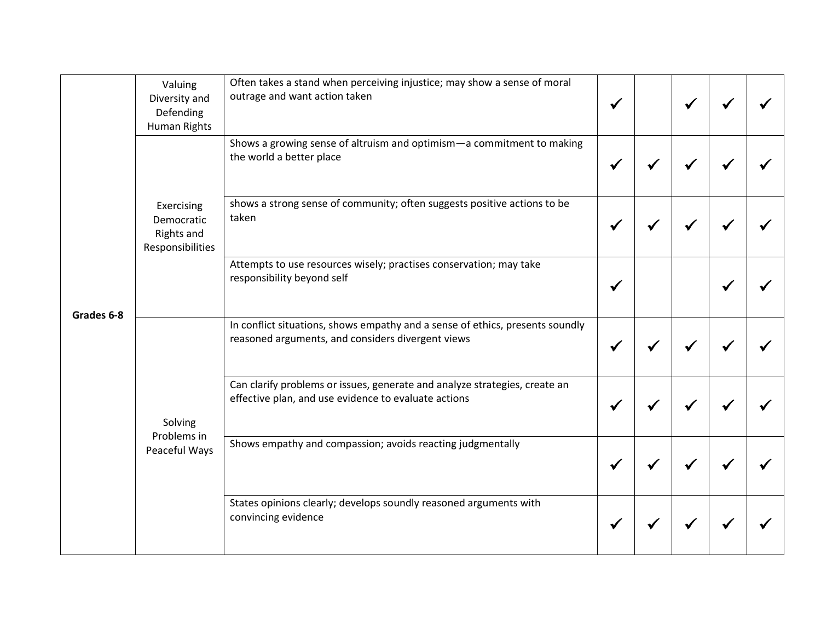|            | Valuing<br>Diversity and<br>Defending<br>Human Rights                                                                  | Often takes a stand when perceiving injustice; may show a sense of moral<br>outrage and want action taken                          |  |  |  |
|------------|------------------------------------------------------------------------------------------------------------------------|------------------------------------------------------------------------------------------------------------------------------------|--|--|--|
|            |                                                                                                                        | Shows a growing sense of altruism and optimism-a commitment to making<br>the world a better place                                  |  |  |  |
| Grades 6-8 | Exercising<br>Democratic<br><b>Rights and</b><br>Responsibilities                                                      | shows a strong sense of community; often suggests positive actions to be<br>taken                                                  |  |  |  |
|            |                                                                                                                        | Attempts to use resources wisely; practises conservation; may take<br>responsibility beyond self                                   |  |  |  |
|            |                                                                                                                        | In conflict situations, shows empathy and a sense of ethics, presents soundly<br>reasoned arguments, and considers divergent views |  |  |  |
|            | effective plan, and use evidence to evaluate actions<br>Solving<br>Problems in<br>Peaceful Ways<br>convincing evidence | Can clarify problems or issues, generate and analyze strategies, create an                                                         |  |  |  |
|            |                                                                                                                        | Shows empathy and compassion; avoids reacting judgmentally                                                                         |  |  |  |
|            |                                                                                                                        | States opinions clearly; develops soundly reasoned arguments with                                                                  |  |  |  |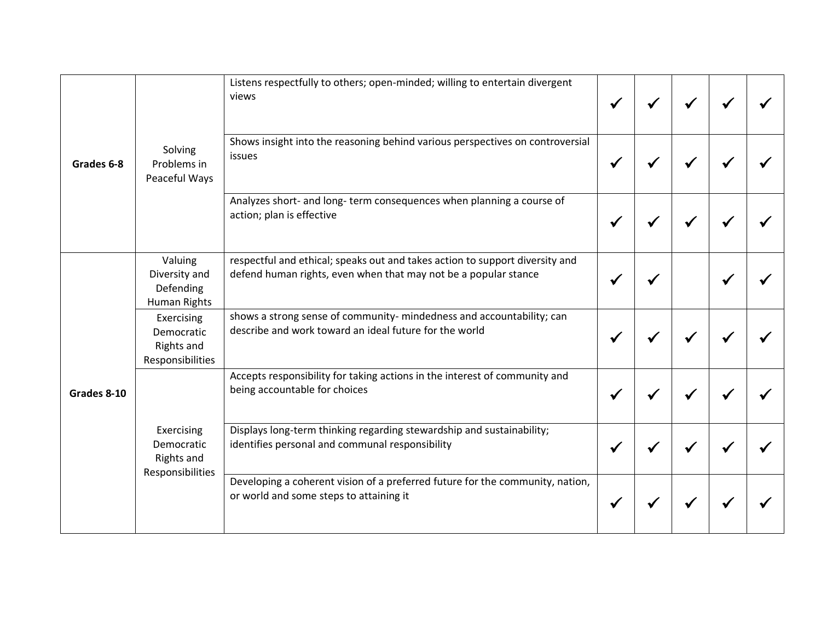| Grades 6-8  | Listens respectfully to others; open-minded; willing to entertain divergent<br>views<br>Shows insight into the reasoning behind various perspectives on controversial<br>Solving<br>issues<br>Problems in<br>Peaceful Ways |                                                                                                                                                 |  |  |  |
|-------------|----------------------------------------------------------------------------------------------------------------------------------------------------------------------------------------------------------------------------|-------------------------------------------------------------------------------------------------------------------------------------------------|--|--|--|
|             |                                                                                                                                                                                                                            |                                                                                                                                                 |  |  |  |
|             |                                                                                                                                                                                                                            | Analyzes short- and long- term consequences when planning a course of<br>action; plan is effective                                              |  |  |  |
|             | Valuing<br>Diversity and<br>Defending<br>Human Rights                                                                                                                                                                      | respectful and ethical; speaks out and takes action to support diversity and<br>defend human rights, even when that may not be a popular stance |  |  |  |
|             | Exercising<br>Democratic<br><b>Rights and</b><br>Responsibilities                                                                                                                                                          | shows a strong sense of community- mindedness and accountability; can<br>describe and work toward an ideal future for the world                 |  |  |  |
| Grades 8-10 |                                                                                                                                                                                                                            | Accepts responsibility for taking actions in the interest of community and<br>being accountable for choices                                     |  |  |  |
|             | Exercising<br>Democratic<br><b>Rights and</b><br>Responsibilities                                                                                                                                                          | Displays long-term thinking regarding stewardship and sustainability;<br>identifies personal and communal responsibility                        |  |  |  |
|             |                                                                                                                                                                                                                            | Developing a coherent vision of a preferred future for the community, nation,<br>or world and some steps to attaining it                        |  |  |  |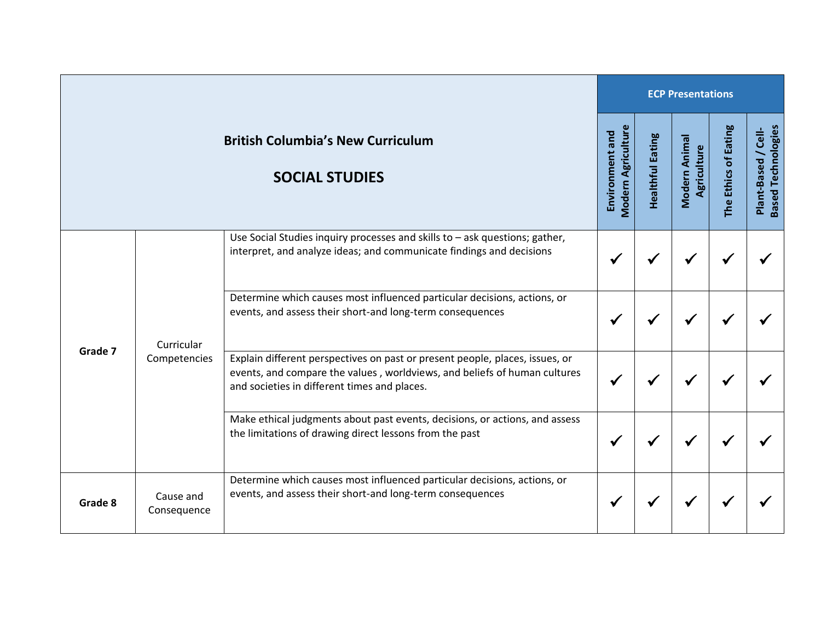|                                                                   |                                                                                                                                                                                                                                                                                                              |                                                                                                                                                                                                           | <b>ECP Presentations</b>                     |                         |                              |                      |                                                  |  |  |
|-------------------------------------------------------------------|--------------------------------------------------------------------------------------------------------------------------------------------------------------------------------------------------------------------------------------------------------------------------------------------------------------|-----------------------------------------------------------------------------------------------------------------------------------------------------------------------------------------------------------|----------------------------------------------|-------------------------|------------------------------|----------------------|--------------------------------------------------|--|--|
| <b>British Columbia's New Curriculum</b><br><b>SOCIAL STUDIES</b> |                                                                                                                                                                                                                                                                                                              |                                                                                                                                                                                                           | <b>Modern Agriculture</b><br>Environment and | <b>Healthful Eating</b> | Modern Animal<br>Agriculture | The Ethics of Eating | <b>Based Technologies</b><br>Plant-Based / Cell- |  |  |
|                                                                   | Use Social Studies inquiry processes and skills to $-$ ask questions; gather,<br>interpret, and analyze ideas; and communicate findings and decisions<br>Determine which causes most influenced particular decisions, actions, or<br>events, and assess their short-and long-term consequences<br>Curricular |                                                                                                                                                                                                           |                                              |                         |                              |                      |                                                  |  |  |
|                                                                   |                                                                                                                                                                                                                                                                                                              |                                                                                                                                                                                                           |                                              |                         |                              |                      |                                                  |  |  |
| Grade 7                                                           | Competencies                                                                                                                                                                                                                                                                                                 | Explain different perspectives on past or present people, places, issues, or<br>events, and compare the values, worldviews, and beliefs of human cultures<br>and societies in different times and places. |                                              |                         |                              |                      |                                                  |  |  |
|                                                                   |                                                                                                                                                                                                                                                                                                              | Make ethical judgments about past events, decisions, or actions, and assess<br>the limitations of drawing direct lessons from the past                                                                    |                                              |                         |                              |                      |                                                  |  |  |
| Grade 8                                                           | Cause and<br>Consequence                                                                                                                                                                                                                                                                                     | Determine which causes most influenced particular decisions, actions, or<br>events, and assess their short-and long-term consequences                                                                     | N                                            |                         |                              |                      |                                                  |  |  |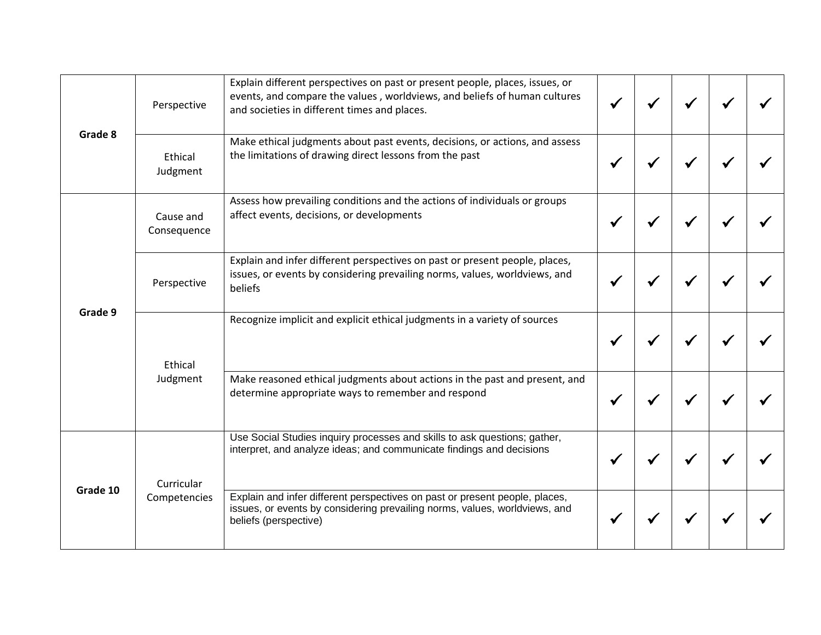| Grade 8  | Perspective              | Explain different perspectives on past or present people, places, issues, or<br>events, and compare the values, worldviews, and beliefs of human cultures<br>and societies in different times and places. |  |  |  |
|----------|--------------------------|-----------------------------------------------------------------------------------------------------------------------------------------------------------------------------------------------------------|--|--|--|
|          | Ethical<br>Judgment      | Make ethical judgments about past events, decisions, or actions, and assess<br>the limitations of drawing direct lessons from the past                                                                    |  |  |  |
| Grade 9  | Cause and<br>Consequence | Assess how prevailing conditions and the actions of individuals or groups<br>affect events, decisions, or developments                                                                                    |  |  |  |
|          | Perspective              | Explain and infer different perspectives on past or present people, places,<br>issues, or events by considering prevailing norms, values, worldviews, and<br>beliefs                                      |  |  |  |
|          | Ethical                  | Recognize implicit and explicit ethical judgments in a variety of sources                                                                                                                                 |  |  |  |
|          | Judgment                 | Make reasoned ethical judgments about actions in the past and present, and<br>determine appropriate ways to remember and respond                                                                          |  |  |  |
| Grade 10 | Curricular               | Use Social Studies inquiry processes and skills to ask questions; gather,<br>interpret, and analyze ideas; and communicate findings and decisions                                                         |  |  |  |
|          | Competencies             | Explain and infer different perspectives on past or present people, places,<br>issues, or events by considering prevailing norms, values, worldviews, and<br>beliefs (perspective)                        |  |  |  |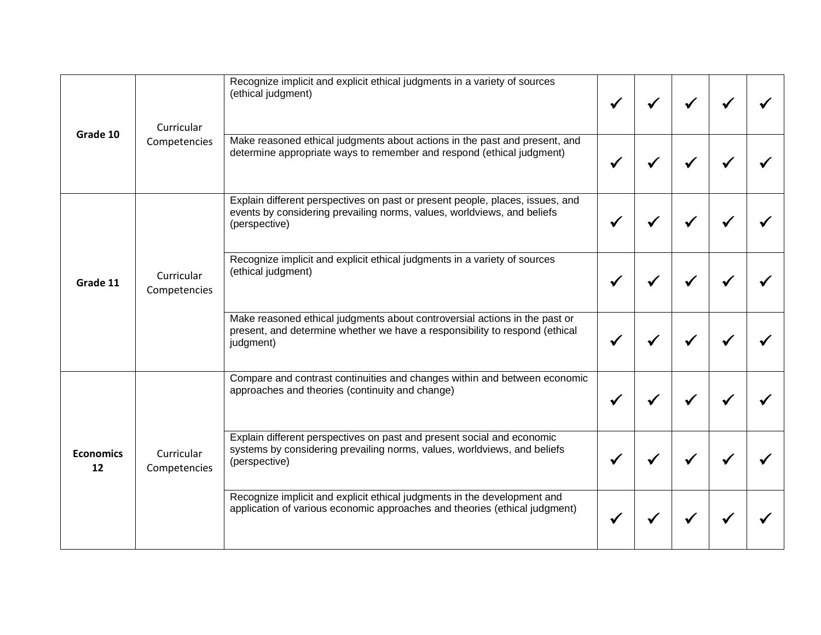| Grade 10               | Curricular                 | Recognize implicit and explicit ethical judgments in a variety of sources<br>(ethical judgment)                                                                           |  |  |  |
|------------------------|----------------------------|---------------------------------------------------------------------------------------------------------------------------------------------------------------------------|--|--|--|
|                        | Competencies               | Make reasoned ethical judgments about actions in the past and present, and<br>determine appropriate ways to remember and respond (ethical judgment)                       |  |  |  |
| Grade 11               | Curricular<br>Competencies | Explain different perspectives on past or present people, places, issues, and<br>events by considering prevailing norms, values, worldviews, and beliefs<br>(perspective) |  |  |  |
|                        |                            | Recognize implicit and explicit ethical judgments in a variety of sources<br>(ethical judgment)                                                                           |  |  |  |
|                        |                            | Make reasoned ethical judgments about controversial actions in the past or<br>present, and determine whether we have a responsibility to respond (ethical<br>judgment)    |  |  |  |
| <b>Economics</b><br>12 | Curricular<br>Competencies | Compare and contrast continuities and changes within and between economic<br>approaches and theories (continuity and change)                                              |  |  |  |
|                        |                            | Explain different perspectives on past and present social and economic<br>systems by considering prevailing norms, values, worldviews, and beliefs<br>(perspective)       |  |  |  |
|                        |                            | Recognize implicit and explicit ethical judgments in the development and<br>application of various economic approaches and theories (ethical judgment)                    |  |  |  |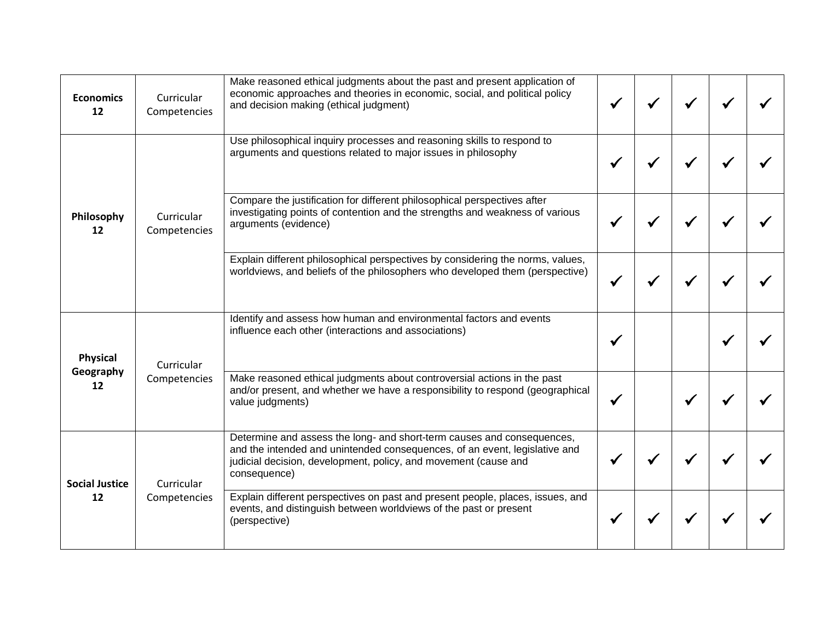| <b>Economics</b><br>12      | Curricular<br>Competencies                         | Make reasoned ethical judgments about the past and present application of<br>economic approaches and theories in economic, social, and political policy<br>and decision making (ethical judgment)                                       |  |  |  |
|-----------------------------|----------------------------------------------------|-----------------------------------------------------------------------------------------------------------------------------------------------------------------------------------------------------------------------------------------|--|--|--|
| Philosophy<br>12            |                                                    | Use philosophical inquiry processes and reasoning skills to respond to<br>arguments and questions related to major issues in philosophy                                                                                                 |  |  |  |
|                             | Curricular<br>arguments (evidence)<br>Competencies | Compare the justification for different philosophical perspectives after<br>investigating points of contention and the strengths and weakness of various                                                                                |  |  |  |
|                             |                                                    | Explain different philosophical perspectives by considering the norms, values,<br>worldviews, and beliefs of the philosophers who developed them (perspective)                                                                          |  |  |  |
| Physical                    | Curricular                                         | Identify and assess how human and environmental factors and events<br>influence each other (interactions and associations)                                                                                                              |  |  |  |
| Geography<br>12             | Competencies<br>value judgments)                   | Make reasoned ethical judgments about controversial actions in the past<br>and/or present, and whether we have a responsibility to respond (geographical                                                                                |  |  |  |
| <b>Social Justice</b><br>12 | Curricular                                         | Determine and assess the long- and short-term causes and consequences,<br>and the intended and unintended consequences, of an event, legislative and<br>judicial decision, development, policy, and movement (cause and<br>consequence) |  |  |  |
|                             | Competencies                                       | Explain different perspectives on past and present people, places, issues, and<br>events, and distinguish between worldviews of the past or present<br>(perspective)                                                                    |  |  |  |